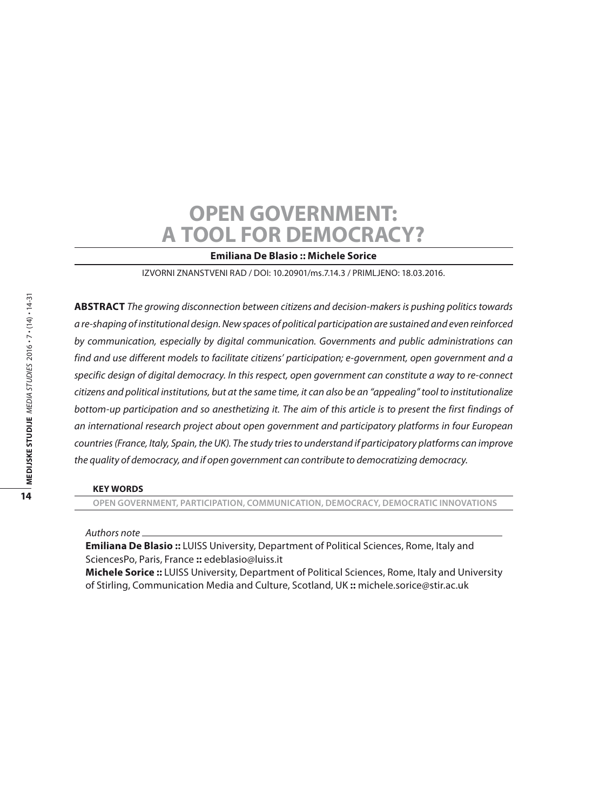# **Open Government: a Tool for Democracy?**

#### **Emiliana De Blasio :: Michele Sorice**

IZVORNI ZNANSTVENI RAD / DOI: 10.20901/ms.7.14.3 / PRIMLJENO: 18.03.2016.

**Abstract** *The growing disconnection between citizens and decision-makers is pushing politics towards a re-shaping of institutional design. New spaces of political participation are sustained and even reinforced by communication, especially by digital communication. Governments and public administrations can find and use different models to facilitate citizens' participation; e-government, open government and a specific design of digital democracy. In this respect, open government can constitute a way to re-connect citizens and political institutions, but at the same time, it can also be an "appealing" tool to institutionalize*  bottom-up participation and so anesthetizing it. The aim of this article is to present the first findings of *an international research project about open government and participatory platforms in four European countries (France, Italy, Spain, the UK). The study tries to understand if participatory platforms can improve the quality of democracy, and if open government can contribute to democratizing democracy.* 

#### **Key words**

**open government, participation, communication, democracy, democratic innovations**

*Authors note*

**Emiliana De Blasio ::** LUISS University, Department of Political Sciences, Rome, Italy and SciencesPo, Paris, France **::** edeblasio@luiss.it

**Michele Sorice ::** LUISS University, Department of Political Sciences, Rome, Italy and University of Stirling, Communication Media and Culture, Scotland, UK **::** michele.sorice@stir.ac.uk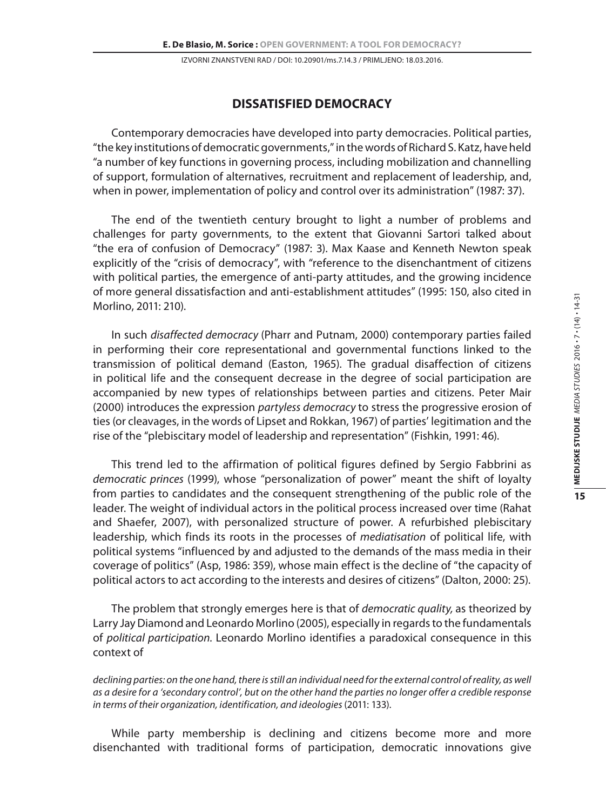## **DISSATISFIED DEMOCRACY**

Contemporary democracies have developed into party democracies. Political parties, "the key institutions of democratic governments," in the words of Richard S. Katz, have held "a number of key functions in governing process, including mobilization and channelling of support, formulation of alternatives, recruitment and replacement of leadership, and, when in power, implementation of policy and control over its administration" (1987: 37).

The end of the twentieth century brought to light a number of problems and challenges for party governments, to the extent that Giovanni Sartori talked about "the era of confusion of Democracy" (1987: 3). Max Kaase and Kenneth Newton speak explicitly of the "crisis of democracy", with "reference to the disenchantment of citizens with political parties, the emergence of anti-party attitudes, and the growing incidence of more general dissatisfaction and anti-establishment attitudes" (1995: 150, also cited in Morlino, 2011: 210).

In such *disaffected democracy* (Pharr and Putnam, 2000) contemporary parties failed in performing their core representational and governmental functions linked to the transmission of political demand (Easton, 1965). The gradual disaffection of citizens in political life and the consequent decrease in the degree of social participation are accompanied by new types of relationships between parties and citizens. Peter Mair (2000) introduces the expression *partyless democracy* to stress the progressive erosion of ties (or cleavages, in the words of Lipset and Rokkan, 1967) of parties' legitimation and the rise of the "plebiscitary model of leadership and representation" (Fishkin, 1991: 46).

This trend led to the affirmation of political figures defined by Sergio Fabbrini as *democratic princes* (1999), whose "personalization of power" meant the shift of loyalty from parties to candidates and the consequent strengthening of the public role of the leader. The weight of individual actors in the political process increased over time (Rahat and Shaefer, 2007), with personalized structure of power. A refurbished plebiscitary leadership, which finds its roots in the processes of *mediatisation* of political life, with political systems "influenced by and adjusted to the demands of the mass media in their coverage of politics" (Asp, 1986: 359), whose main effect is the decline of "the capacity of political actors to act according to the interests and desires of citizens" (Dalton, 2000: 25).

The problem that strongly emerges here is that of *democratic quality,* as theorized by Larry Jay Diamond and Leonardo Morlino (2005), especially in regards to the fundamentals of *political participation.* Leonardo Morlino identifies a paradoxical consequence in this context of

*declining parties: on the one hand, there is still an individual need for the external control of reality, as well as a desire for a 'secondary control', but on the other hand the parties no longer offer a credible response in terms of their organization, identification, and ideologies* (2011: 133).

While party membership is declining and citizens become more and more disenchanted with traditional forms of participation, democratic innovations give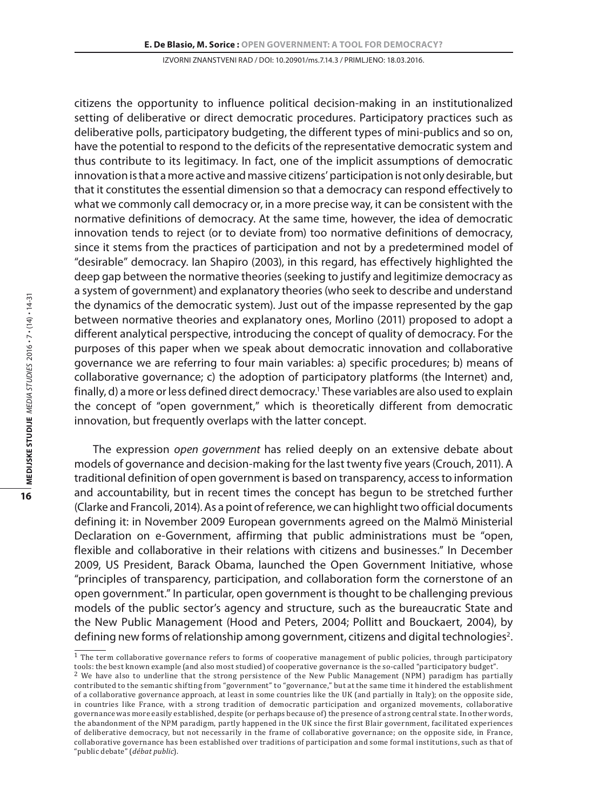citizens the opportunity to influence political decision-making in an institutionalized setting of deliberative or direct democratic procedures. Participatory practices such as deliberative polls, participatory budgeting, the different types of mini-publics and so on, have the potential to respond to the deficits of the representative democratic system and thus contribute to its legitimacy. In fact, one of the implicit assumptions of democratic innovation is that a more active and massive citizens' participation is not only desirable, but that it constitutes the essential dimension so that a democracy can respond effectively to what we commonly call democracy or, in a more precise way, it can be consistent with the normative definitions of democracy. At the same time, however, the idea of democratic innovation tends to reject (or to deviate from) too normative definitions of democracy, since it stems from the practices of participation and not by a predetermined model of "desirable" democracy. Ian Shapiro (2003), in this regard, has effectively highlighted the deep gap between the normative theories (seeking to justify and legitimize democracy as a system of government) and explanatory theories (who seek to describe and understand the dynamics of the democratic system). Just out of the impasse represented by the gap between normative theories and explanatory ones, Morlino (2011) proposed to adopt a different analytical perspective, introducing the concept of quality of democracy. For the purposes of this paper when we speak about democratic innovation and collaborative governance we are referring to four main variables: a) specific procedures; b) means of collaborative governance; c) the adoption of participatory platforms (the Internet) and, finally, d) a more or less defined direct democracy.<sup>1</sup> These variables are also used to explain the concept of "open government," which is theoretically different from democratic innovation, but frequently overlaps with the latter concept.

The expression *open government* has relied deeply on an extensive debate about models of governance and decision-making for the last twenty five years (Crouch, 2011). A traditional definition of open government is based on transparency, access to information and accountability, but in recent times the concept has begun to be stretched further (Clarke and Francoli, 2014). As a point of reference, we can highlight two official documents defining it: in November 2009 European governments agreed on the Malmö Ministerial Declaration on e-Government, affirming that public administrations must be "open, flexible and collaborative in their relations with citizens and businesses." In December 2009, US President, Barack Obama, launched the Open Government Initiative, whose "principles of transparency, participation, and collaboration form the cornerstone of an open government." In particular, open government is thought to be challenging previous models of the public sector's agency and structure, such as the bureaucratic State and the New Public Management (Hood and Peters, 2004; Pollitt and Bouckaert, 2004), by defining new forms of relationship among government, citizens and digital technologies<sup>2</sup>.

 $<sup>1</sup>$  The term collaborative governance refers to forms of cooperative management of public policies, through participatory</sup> tools: the best known example (and also most studied) of cooperative governance is the so-called "participatory budget".

<sup>2</sup> We have also to underline that the strong persistence of the New Public Management (NPM) paradigm has partially contributed to the semantic shifting from "government" to "governance," but at the same time it hindered the establishment of a collaborative governance approach, at least in some countries like the UK (and partially in Italy); on the opposite side, in countries like France, with a strong tradition of democratic participation and organized movements, collaborative governance was more easily established, despite (or perhaps because of) the presence of a strong central state. In other words, the abandonment of the NPM paradigm, partly happened in the UK since the first Blair government, facilitated experiences of deliberative democracy, but not necessarily in the frame of collaborative governance; on the opposite side, in France, collaborative governance has been established over traditions of participation and some formal institutions, such as that of "public debate" (*débat public*).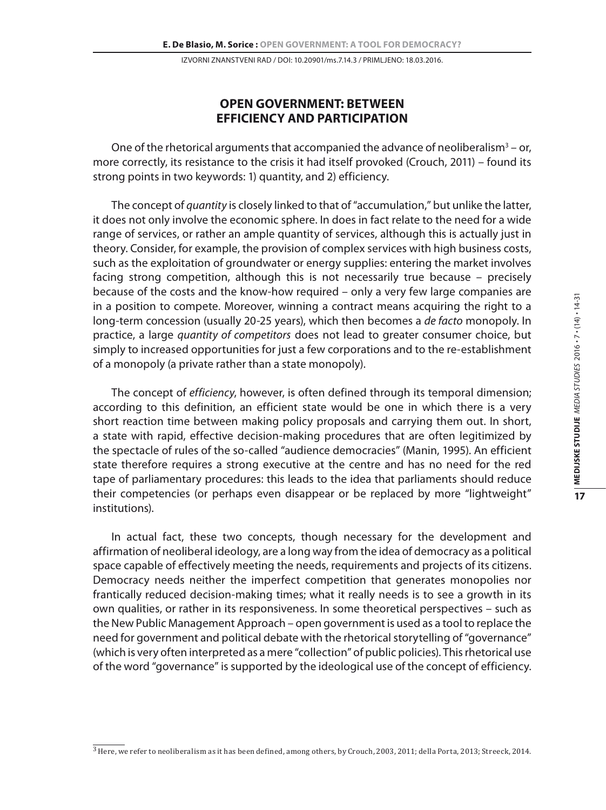# **Open Government: between Efficiency and Participation**

One of the rhetorical arguments that accompanied the advance of neoliberalism<sup>3</sup> – or, more correctly, its resistance to the crisis it had itself provoked (Crouch, 2011) – found its strong points in two keywords: 1) quantity, and 2) efficiency.

The concept of *quantity* is closely linked to that of "accumulation," but unlike the latter, it does not only involve the economic sphere. In does in fact relate to the need for a wide range of services, or rather an ample quantity of services, although this is actually just in theory. Consider, for example, the provision of complex services with high business costs, such as the exploitation of groundwater or energy supplies: entering the market involves facing strong competition, although this is not necessarily true because – precisely because of the costs and the know-how required – only a very few large companies are in a position to compete. Moreover, winning a contract means acquiring the right to a long-term concession (usually 20-25 years), which then becomes a *de facto* monopoly. In practice, a large *quantity of competitors* does not lead to greater consumer choice, but simply to increased opportunities for just a few corporations and to the re-establishment of a monopoly (a private rather than a state monopoly).

The concept of *efficiency*, however, is often defined through its temporal dimension; according to this definition, an efficient state would be one in which there is a very short reaction time between making policy proposals and carrying them out. In short, a state with rapid, effective decision-making procedures that are often legitimized by the spectacle of rules of the so-called "audience democracies" (Manin, 1995). An efficient state therefore requires a strong executive at the centre and has no need for the red tape of parliamentary procedures: this leads to the idea that parliaments should reduce their competencies (or perhaps even disappear or be replaced by more "lightweight" institutions).

In actual fact, these two concepts, though necessary for the development and affirmation of neoliberal ideology, are a long way from the idea of democracy as a political space capable of effectively meeting the needs, requirements and projects of its citizens. Democracy needs neither the imperfect competition that generates monopolies nor frantically reduced decision-making times; what it really needs is to see a growth in its own qualities, or rather in its responsiveness*.* In some theoretical perspectives – such as the New Public Management Approach – open government is used as a tool to replace the need for government and political debate with the rhetorical storytelling of "governance" (which is very often interpreted as a mere "collection" of public policies). This rhetorical use of the word "governance" is supported by the ideological use of the concept of efficiency.

 $^3$  Here, we refer to neoliberalism as it has been defined, among others, by Crouch, 2003, 2011; della Porta, 2013; Streeck, 2014.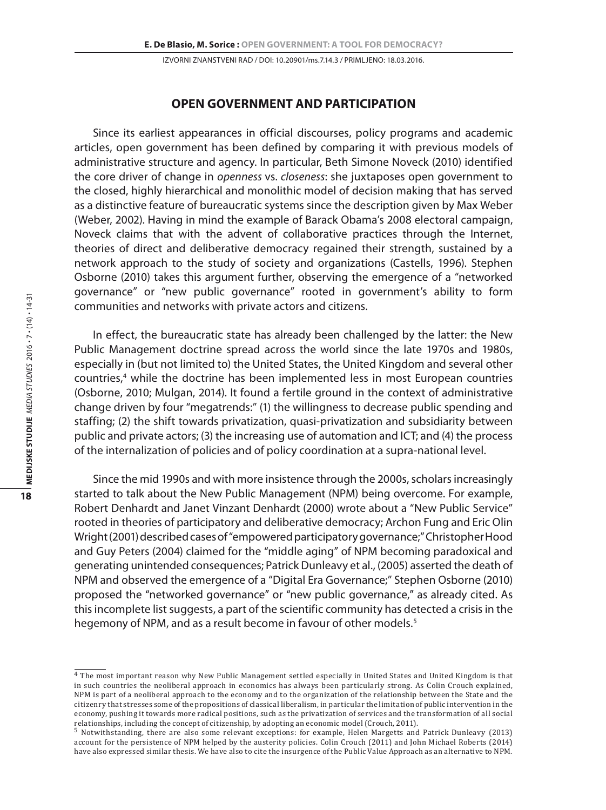## **Open Government and Participation**

Since its earliest appearances in official discourses, policy programs and academic articles, open government has been defined by comparing it with previous models of administrative structure and agency. In particular, Beth Simone Noveck (2010) identified the core driver of change in *openness* vs*. closeness*: she juxtaposes open government to the closed, highly hierarchical and monolithic model of decision making that has served as a distinctive feature of bureaucratic systems since the description given by Max Weber (Weber, 2002). Having in mind the example of Barack Obama's 2008 electoral campaign, Noveck claims that with the advent of collaborative practices through the Internet, theories of direct and deliberative democracy regained their strength, sustained by a network approach to the study of society and organizations (Castells, 1996). Stephen Osborne (2010) takes this argument further, observing the emergence of a "networked governance" or "new public governance" rooted in government's ability to form communities and networks with private actors and citizens.

In effect, the bureaucratic state has already been challenged by the latter: the New Public Management doctrine spread across the world since the late 1970s and 1980s, especially in (but not limited to) the United States, the United Kingdom and several other countries,<sup>4</sup> while the doctrine has been implemented less in most European countries (Osborne, 2010; Mulgan, 2014). It found a fertile ground in the context of administrative change driven by four "megatrends:" (1) the willingness to decrease public spending and staffing; (2) the shift towards privatization, quasi-privatization and subsidiarity between public and private actors; (3) the increasing use of automation and ICT; and (4) the process of the internalization of policies and of policy coordination at a supra-national level.

Since the mid 1990s and with more insistence through the 2000s, scholars increasingly started to talk about the New Public Management (NPM) being overcome. For example, Robert Denhardt and Janet Vinzant Denhardt (2000) wrote about a "New Public Service" rooted in theories of participatory and deliberative democracy; Archon Fung and Eric Olin Wright (2001) described cases of "empowered participatory governance;" Christopher Hood and Guy Peters (2004) claimed for the "middle aging" of NPM becoming paradoxical and generating unintended consequences; Patrick Dunleavy et al., (2005) asserted the death of NPM and observed the emergence of a "Digital Era Governance;" Stephen Osborne (2010) proposed the "networked governance" or "new public governance," as already cited. As this incomplete list suggests, a part of the scientific community has detected a crisis in the hegemony of NPM, and as a result become in favour of other models.<sup>5</sup>

<sup>4</sup> The most important reason why New Public Management settled especially in United States and United Kingdom is that in such countries the neoliberal approach in economics has always been particularly strong. As Colin Crouch explained, NPM is part of a neoliberal approach to the economy and to the organization of the relationship between the State and the citizenry that stresses some of the propositions of classical liberalism, in particular the limitation of public intervention in the economy, pushing it towards more radical positions, such as the privatization of services and the transformation of all social relationships, including the concept of citizenship, by adopting an economic model (Crouch, 2011).

<sup>5</sup> Notwithstanding, there are also some relevant exceptions: for example, Helen Margetts and Patrick Dunleavy (2013) account for the persistence of NPM helped by the austerity policies. Colin Crouch (2011) and John Michael Roberts (2014) have also expressed similar thesis. We have also to cite the insurgence of the Public Value Approach as an alternative to NPM.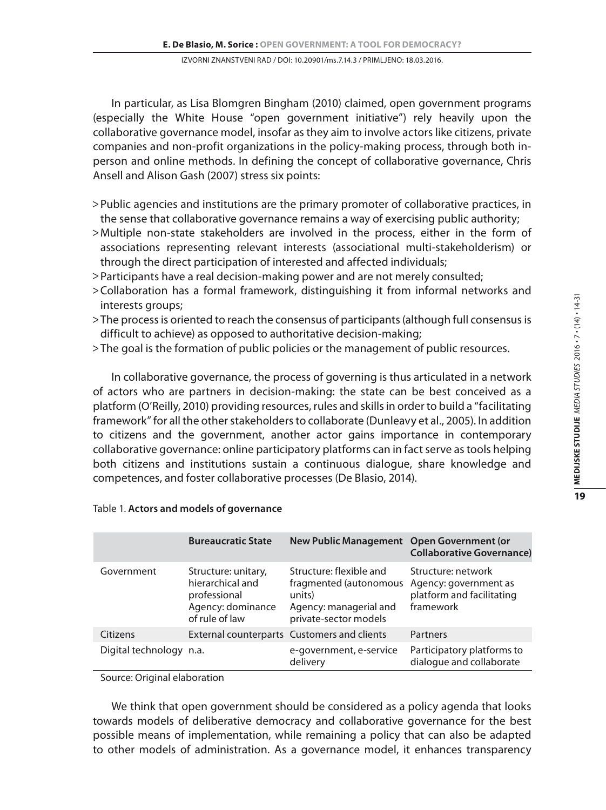In particular, as Lisa Blomgren Bingham (2010) claimed, open government programs (especially the White House "open government initiative") rely heavily upon the collaborative governance model, insofar as they aim to involve actors like citizens, private companies and non-profit organizations in the policy-making process, through both inperson and online methods. In defining the concept of collaborative governance, Chris Ansell and Alison Gash (2007) stress six points:

- > Public agencies and institutions are the primary promoter of collaborative practices, in the sense that collaborative governance remains a way of exercising public authority;
- >Multiple non-state stakeholders are involved in the process, either in the form of associations representing relevant interests (associational multi-stakeholderism) or through the direct participation of interested and affected individuals;
- Participants have a real decision-making power and are not merely consulted; >
- >Collaboration has a formal framework, distinguishing it from informal networks and interests groups;
- The process is oriented to reach the consensus of participants (although full consensus is > difficult to achieve) as opposed to authoritative decision-making;
- The goal is the formation of public policies or the management of public resources. >

In collaborative governance, the process of governing is thus articulated in a network of actors who are partners in decision-making: the state can be best conceived as a platform (O'Reilly, 2010) providing resources, rules and skills in order to build a "facilitating framework" for all the other stakeholders to collaborate (Dunleavy et al., 2005). In addition to citizens and the government, another actor gains importance in contemporary collaborative governance: online participatory platforms can in fact serve as tools helping both citizens and institutions sustain a continuous dialogue, share knowledge and competences, and foster collaborative processes (De Blasio, 2014).

|                         | <b>Bureaucratic State</b>                                                                      | New Public Management Open Government (or                                                                      | <b>Collaborative Governance)</b>                                                      |
|-------------------------|------------------------------------------------------------------------------------------------|----------------------------------------------------------------------------------------------------------------|---------------------------------------------------------------------------------------|
| Government              | Structure: unitary,<br>hierarchical and<br>professional<br>Agency: dominance<br>of rule of law | Structure: flexible and<br>fragmented (autonomous<br>units)<br>Agency: managerial and<br>private-sector models | Structure: network<br>Agency: government as<br>platform and facilitating<br>framework |
| Citizens                |                                                                                                | External counterparts Customers and clients                                                                    | Partners                                                                              |
| Digital technology n.a. |                                                                                                | e-government, e-service<br>delivery                                                                            | Participatory platforms to<br>dialogue and collaborate                                |

## Table 1. **Actors and models of governance**

Source: Original elaboration

We think that open government should be considered as a policy agenda that looks towards models of deliberative democracy and collaborative governance for the best possible means of implementation, while remaining a policy that can also be adapted to other models of administration. As a governance model, it enhances transparency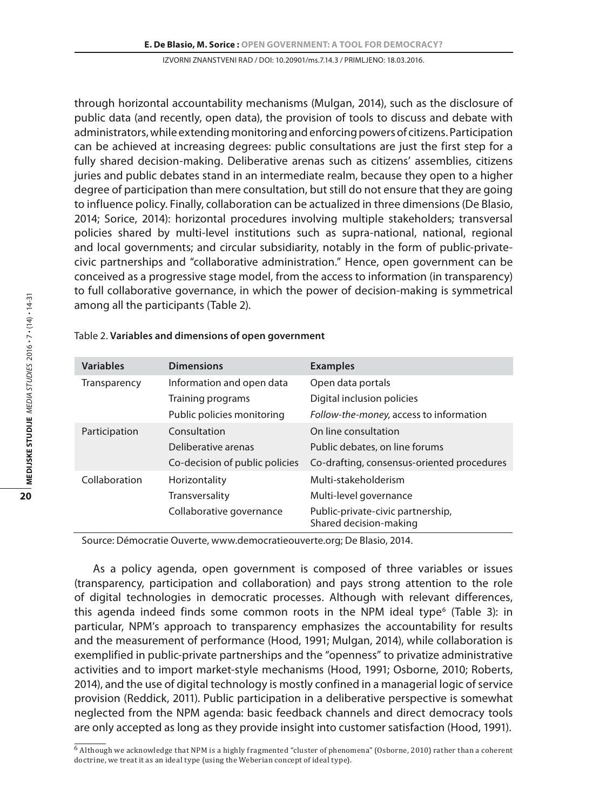through horizontal accountability mechanisms (Mulgan, 2014), such as the disclosure of public data (and recently, open data), the provision of tools to discuss and debate with administrators, while extending monitoring and enforcing powers of citizens. Participation can be achieved at increasing degrees: public consultations are just the first step for a fully shared decision-making. Deliberative arenas such as citizens' assemblies, citizens juries and public debates stand in an intermediate realm, because they open to a higher degree of participation than mere consultation, but still do not ensure that they are going to influence policy. Finally, collaboration can be actualized in three dimensions (De Blasio, 2014; Sorice, 2014): horizontal procedures involving multiple stakeholders; transversal policies shared by multi-level institutions such as supra-national, national, regional and local governments; and circular subsidiarity, notably in the form of public-privatecivic partnerships and "collaborative administration." Hence, open government can be conceived as a progressive stage model, from the access to information (in transparency) to full collaborative governance, in which the power of decision-making is symmetrical among all the participants (Table 2).

| <b>Variables</b> | <b>Dimensions</b>              | <b>Examples</b>                                             |
|------------------|--------------------------------|-------------------------------------------------------------|
| Transparency     | Information and open data      | Open data portals                                           |
|                  | Training programs              | Digital inclusion policies                                  |
|                  | Public policies monitoring     | Follow-the-money, access to information                     |
| Participation    | Consultation                   | On line consultation                                        |
|                  | Deliberative arenas            | Public debates, on line forums                              |
|                  | Co-decision of public policies | Co-drafting, consensus-oriented procedures                  |
| Collaboration    | Horizontality                  | Multi-stakeholderism                                        |
|                  | Transversality                 | Multi-level governance                                      |
|                  | Collaborative governance       | Public-private-civic partnership,<br>Shared decision-making |

#### Table 2. **Variables and dimensions of open government**

Source: Démocratie Ouverte, www.democratieouverte.org; De Blasio, 2014.

As a policy agenda, open government is composed of three variables or issues (transparency, participation and collaboration) and pays strong attention to the role of digital technologies in democratic processes. Although with relevant differences, this agenda indeed finds some common roots in the NPM ideal type<sup>6</sup> (Table 3): in particular, NPM's approach to transparency emphasizes the accountability for results and the measurement of performance (Hood, 1991; Mulgan, 2014), while collaboration is exemplified in public-private partnerships and the "openness" to privatize administrative activities and to import market-style mechanisms (Hood, 1991; Osborne, 2010; Roberts, 2014), and the use of digital technology is mostly confined in a managerial logic of service provision (Reddick, 2011). Public participation in a deliberative perspective is somewhat neglected from the NPM agenda: basic feedback channels and direct democracy tools are only accepted as long as they provide insight into customer satisfaction (Hood, 1991).

6 Although we acknowledge that NPM is a highly fragmented "cluster of phenomena" (Osborne, 2010) rather than a coherent doctrine, we treat it as an ideal type (using the Weberian concept of ideal type).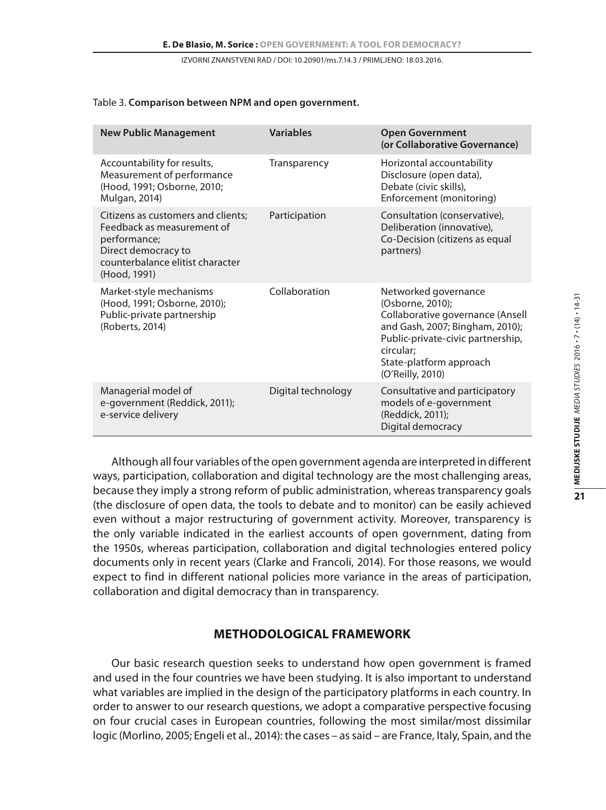### Table 3. **Comparison between NPM and open government.**

| <b>New Public Management</b>                                                                                                                                | <b>Variables</b>   | <b>Open Government</b><br>(or Collaborative Governance)                                                                                                                                                          |
|-------------------------------------------------------------------------------------------------------------------------------------------------------------|--------------------|------------------------------------------------------------------------------------------------------------------------------------------------------------------------------------------------------------------|
| Accountability for results,<br>Measurement of performance<br>(Hood, 1991; Osborne, 2010;<br>Mulgan, 2014)                                                   | Transparency       | Horizontal accountability<br>Disclosure (open data),<br>Debate (civic skills),<br>Enforcement (monitoring)                                                                                                       |
| Citizens as customers and clients;<br>Feedback as measurement of<br>performance;<br>Direct democracy to<br>counterbalance elitist character<br>(Hood, 1991) | Participation      | Consultation (conservative),<br>Deliberation (innovative),<br>Co-Decision (citizens as equal<br>partners)                                                                                                        |
| Market-style mechanisms<br>(Hood, 1991; Osborne, 2010);<br>Public-private partnership<br>(Roberts, 2014)                                                    | Collaboration      | Networked governance<br>(Osborne, 2010);<br>Collaborative governance (Ansell<br>and Gash, 2007; Bingham, 2010);<br>Public-private-civic partnership,<br>circular:<br>State-platform approach<br>(O'Reilly, 2010) |
| Managerial model of<br>e-government (Reddick, 2011);<br>e-service delivery                                                                                  | Digital technology | Consultative and participatory<br>models of e-government<br>(Reddick, 2011);<br>Digital democracy                                                                                                                |

Although all four variables of the open government agenda are interpreted in different ways, participation, collaboration and digital technology are the most challenging areas, because they imply a strong reform of public administration, whereas transparency goals (the disclosure of open data, the tools to debate and to monitor) can be easily achieved even without a major restructuring of government activity. Moreover, transparency is the only variable indicated in the earliest accounts of open government, dating from the 1950s, whereas participation, collaboration and digital technologies entered policy documents only in recent years (Clarke and Francoli, 2014). For those reasons, we would expect to find in different national policies more variance in the areas of participation, collaboration and digital democracy than in transparency.

# **Methodological Framework**

Our basic research question seeks to understand how open government is framed and used in the four countries we have been studying. It is also important to understand what variables are implied in the design of the participatory platforms in each country. In order to answer to our research questions, we adopt a comparative perspective focusing on four crucial cases in European countries, following the most similar/most dissimilar logic (Morlino, 2005; Engeli et al., 2014): the cases – as said – are France, Italy, Spain, and the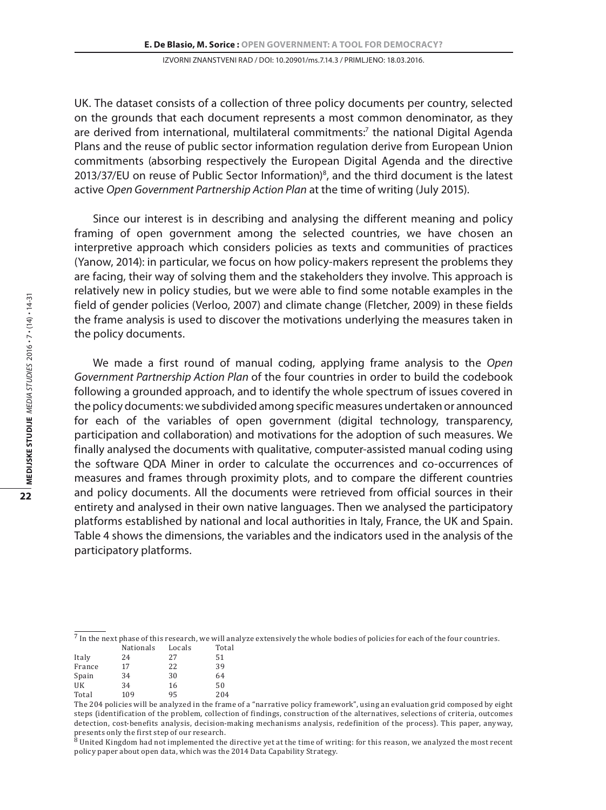UK. The dataset consists of a collection of three policy documents per country, selected on the grounds that each document represents a most common denominator, as they are derived from international, multilateral commitments:<sup>7</sup> the national Digital Agenda Plans and the reuse of public sector information regulation derive from European Union commitments (absorbing respectively the European Digital Agenda and the directive 2013/37/EU on reuse of Public Sector Information)<sup>8</sup>, and the third document is the latest active *Open Government Partnership Action Plan* at the time of writing (July 2015).

Since our interest is in describing and analysing the different meaning and policy framing of open government among the selected countries, we have chosen an interpretive approach which considers policies as texts and communities of practices (Yanow, 2014): in particular, we focus on how policy-makers represent the problems they are facing, their way of solving them and the stakeholders they involve. This approach is relatively new in policy studies, but we were able to find some notable examples in the field of gender policies (Verloo, 2007) and climate change (Fletcher, 2009) in these fields the frame analysis is used to discover the motivations underlying the measures taken in the policy documents.

We made a first round of manual coding, applying frame analysis to the *Open Government Partnership Action Plan* of the four countries in order to build the codebook following a grounded approach, and to identify the whole spectrum of issues covered in the policy documents: we subdivided among specific measures undertaken or announced for each of the variables of open government (digital technology, transparency, participation and collaboration) and motivations for the adoption of such measures. We finally analysed the documents with qualitative, computer-assisted manual coding using the software QDA Miner in order to calculate the occurrences and co-occurrences of measures and frames through proximity plots, and to compare the different countries and policy documents. All the documents were retrieved from official sources in their entirety and analysed in their own native languages. Then we analysed the participatory platforms established by national and local authorities in Italy, France, the UK and Spain. Table 4 shows the dimensions, the variables and the indicators used in the analysis of the participatory platforms.

<sup>&</sup>lt;sup>7</sup> In the next phase of this research, we will analyze extensively the whole bodies of policies for each of the four countries.

|        | Nationals | Locals | Total |
|--------|-----------|--------|-------|
| Italy  | 24        | 27     | 51    |
| France | 17        | 22     | 39    |
| Spain  | 34        | 30     | 64    |
| UK     | 34        | 16     | 50    |
| Total  | 109       | 95     | 204   |

Total 109 95 204 The 204 policies will be analyzed in the frame of a "narrative policy framework", using an evaluation grid composed by eight steps (identification of the problem, collection of findings, construction of the alternatives, selections of criteria, outcomes detection, cost-benefits analysis, decision-making mechanisms analysis, redefinition of the process). This paper, anyway,

presents only the first step of our research.<br><sup>8</sup> United Kingdom had not implemented the directive yet at the time of writing: for this reason, we analyzed the most recent policy paper about open data, which was the 2014 Data Capability Strategy.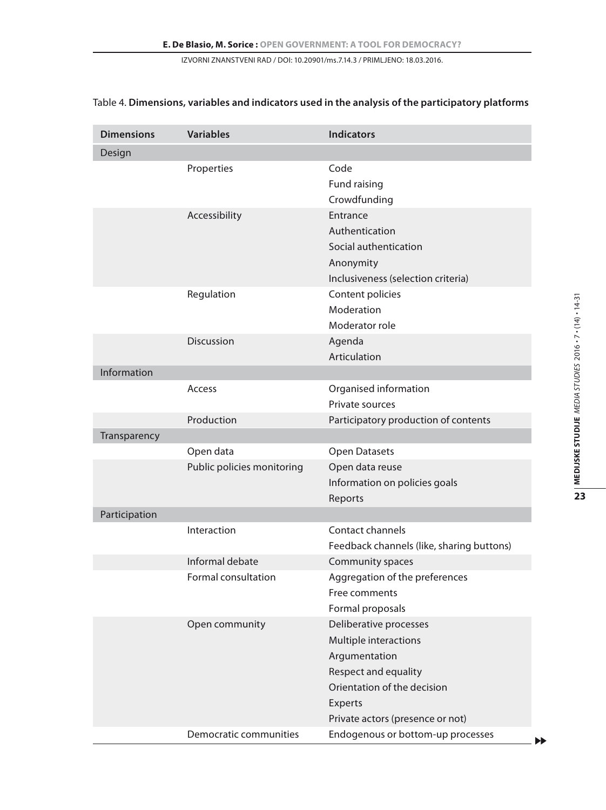| <b>Dimensions</b> | <b>Variables</b>           | <b>Indicators</b>                                                                                                                                                      |
|-------------------|----------------------------|------------------------------------------------------------------------------------------------------------------------------------------------------------------------|
| Design            |                            |                                                                                                                                                                        |
|                   | Properties                 | Code<br>Fund raising<br>Crowdfunding                                                                                                                                   |
|                   | Accessibility              | Entrance<br>Authentication<br>Social authentication<br>Anonymity<br>Inclusiveness (selection criteria)                                                                 |
|                   | Regulation                 | Content policies<br>Moderation<br>Moderator role                                                                                                                       |
|                   | <b>Discussion</b>          | Agenda<br>Articulation                                                                                                                                                 |
| Information       |                            |                                                                                                                                                                        |
|                   | Access                     | Organised information<br>Private sources                                                                                                                               |
|                   | Production                 | Participatory production of contents                                                                                                                                   |
| Transparency      |                            |                                                                                                                                                                        |
|                   | Open data                  | <b>Open Datasets</b>                                                                                                                                                   |
|                   | Public policies monitoring | Open data reuse<br>Information on policies goals<br>Reports                                                                                                            |
| Participation     |                            |                                                                                                                                                                        |
|                   | Interaction                | Contact channels<br>Feedback channels (like, sharing buttons)                                                                                                          |
|                   | Informal debate            | Community spaces                                                                                                                                                       |
|                   | Formal consultation        | Aggregation of the preferences<br>Free comments<br>Formal proposals                                                                                                    |
|                   | Open community             | Deliberative processes<br>Multiple interactions<br>Argumentation<br>Respect and equality<br>Orientation of the decision<br>Experts<br>Private actors (presence or not) |
|                   | Democratic communities     | Endogenous or bottom-up processes                                                                                                                                      |

## Table 4. **Dimensions, variables and indicators used in the analysis of the participatory platforms**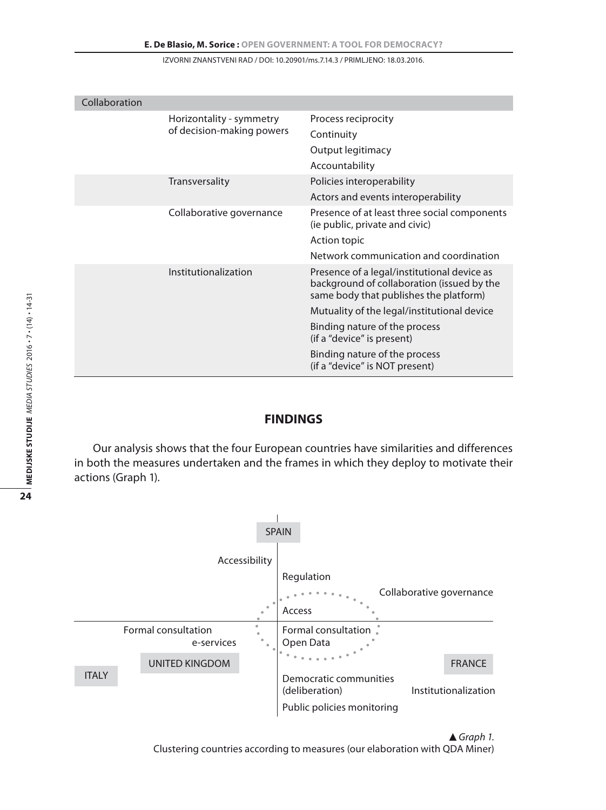| Collaboration |                                                       |                                                                                                                                     |
|---------------|-------------------------------------------------------|-------------------------------------------------------------------------------------------------------------------------------------|
|               | Horizontality - symmetry<br>of decision-making powers | Process reciprocity                                                                                                                 |
|               |                                                       | Continuity                                                                                                                          |
|               |                                                       | Output legitimacy                                                                                                                   |
|               |                                                       | Accountability                                                                                                                      |
|               | Transversality                                        | Policies interoperability                                                                                                           |
|               |                                                       | Actors and events interoperability                                                                                                  |
|               | Collaborative governance                              | Presence of at least three social components<br>(ie public, private and civic)                                                      |
|               |                                                       | Action topic                                                                                                                        |
|               |                                                       | Network communication and coordination                                                                                              |
|               | Institutionalization                                  | Presence of a legal/institutional device as<br>background of collaboration (issued by the<br>same body that publishes the platform) |
|               |                                                       | Mutuality of the legal/institutional device                                                                                         |
|               |                                                       | Binding nature of the process<br>(if a "device" is present)                                                                         |
|               |                                                       | Binding nature of the process<br>(if a "device" is NOT present)                                                                     |

## **Findings**

Our analysis shows that the four European countries have similarities and differences in both the measures undertaken and the frames in which they deploy to motivate their actions (Graph 1).



*Graph 1.* 

Clustering countries according to measures (our elaboration with QDA Miner)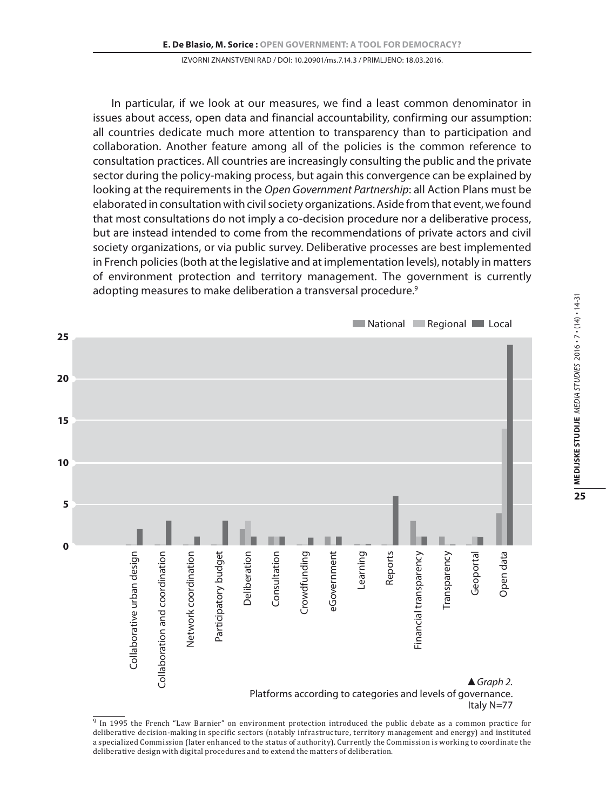In particular, if we look at our measures, we find a least common denominator in issues about access, open data and financial accountability, confirming our assumption: all countries dedicate much more attention to transparency than to participation and collaboration. Another feature among all of the policies is the common reference to consultation practices. All countries are increasingly consulting the public and the private sector during the policy-making process, but again this convergence can be explained by looking at the requirements in the *Open Government Partnership*: all Action Plans must be elaborated in consultation with civil society organizations. Aside from that event, we found that most consultations do not imply a co-decision procedure nor a deliberative process, but are instead intended to come from the recommendations of private actors and civil society organizations, or via public survey. Deliberative processes are best implemented in French policies (both at the legislative and at implementation levels), notably in matters of environment protection and territory management. The government is currently adopting measures to make deliberation a transversal procedure.<sup>9</sup>



 $9$  In 1995 the French "Law Barnier" on environment protection introduced the public debate as a common practice for deliberative decision-making in specific sectors (notably infrastructure, territory management and energy) and instituted a specialized Commission (later enhanced to the status of authority). Currently the Commission is working to coordinate the deliberative design with digital procedures and to extend the matters of deliberation.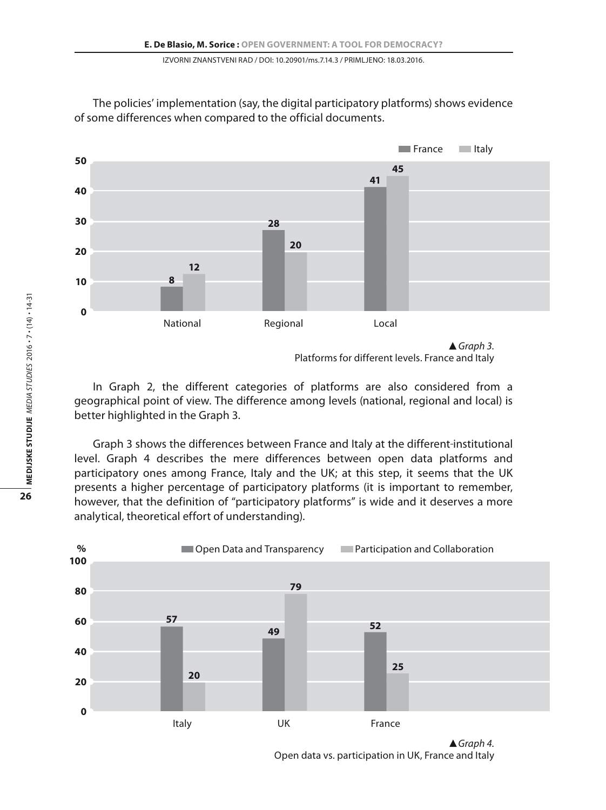

The policies' implementation (say, the digital participatory platforms) shows evidence of some differences when compared to the official documents.

In Graph 2, the different categories of platforms are also considered from a geographical point of view. The difference among levels (national, regional and local) is better highlighted in the Graph 3.

Graph 3 shows the differences between France and Italy at the different institutional level. Graph 4 describes the mere differences between open data platforms and participatory ones among France, Italy and the UK; at this step, it seems that the UK presents a higher percentage of participatory platforms (it is important to remember, however, that the definition of "participatory platforms" is wide and it deserves a more analytical, theoretical effort of understanding).



Open data vs. participation in UK, France and Italy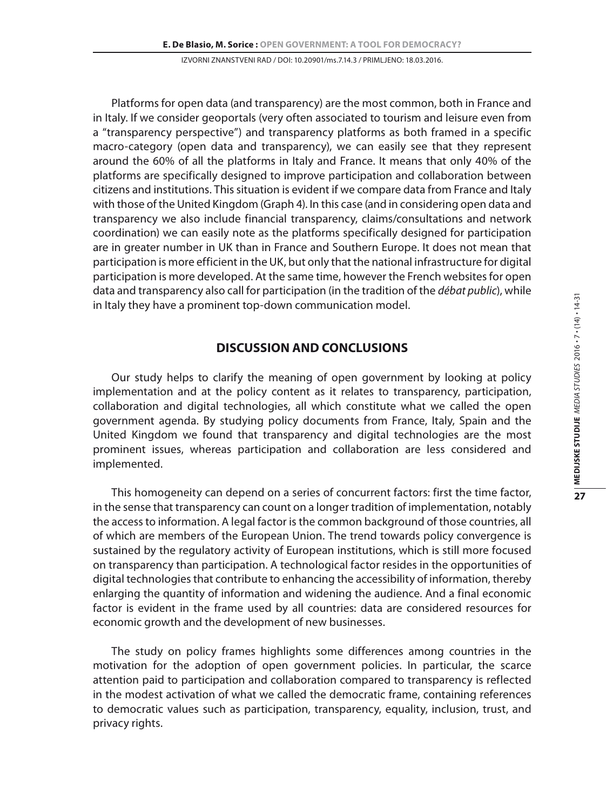Platforms for open data (and transparency) are the most common, both in France and in Italy. If we consider geoportals (very often associated to tourism and leisure even from a "transparency perspective") and transparency platforms as both framed in a specific macro-category (open data and transparency), we can easily see that they represent around the 60% of all the platforms in Italy and France. It means that only 40% of the platforms are specifically designed to improve participation and collaboration between citizens and institutions. This situation is evident if we compare data from France and Italy with those of the United Kingdom (Graph 4). In this case (and in considering open data and transparency we also include financial transparency, claims/consultations and network coordination) we can easily note as the platforms specifically designed for participation are in greater number in UK than in France and Southern Europe. It does not mean that participation is more efficient in the UK, but only that the national infrastructure for digital participation is more developed. At the same time, however the French websites for open data and transparency also call for participation (in the tradition of the *débat public*), while in Italy they have a prominent top-down communication model.

# **Discussion and Conclusions**

Our study helps to clarify the meaning of open government by looking at policy implementation and at the policy content as it relates to transparency, participation, collaboration and digital technologies, all which constitute what we called the open government agenda. By studying policy documents from France, Italy, Spain and the United Kingdom we found that transparency and digital technologies are the most prominent issues, whereas participation and collaboration are less considered and implemented.

This homogeneity can depend on a series of concurrent factors: first the time factor, in the sense that transparency can count on a longer tradition of implementation, notably the access to information. A legal factor is the common background of those countries, all of which are members of the European Union. The trend towards policy convergence is sustained by the regulatory activity of European institutions, which is still more focused on transparency than participation. A technological factor resides in the opportunities of digital technologies that contribute to enhancing the accessibility of information, thereby enlarging the quantity of information and widening the audience. And a final economic factor is evident in the frame used by all countries: data are considered resources for economic growth and the development of new businesses.

The study on policy frames highlights some differences among countries in the motivation for the adoption of open government policies. In particular, the scarce attention paid to participation and collaboration compared to transparency is reflected in the modest activation of what we called the democratic frame, containing references to democratic values such as participation, transparency, equality, inclusion, trust, and privacy rights.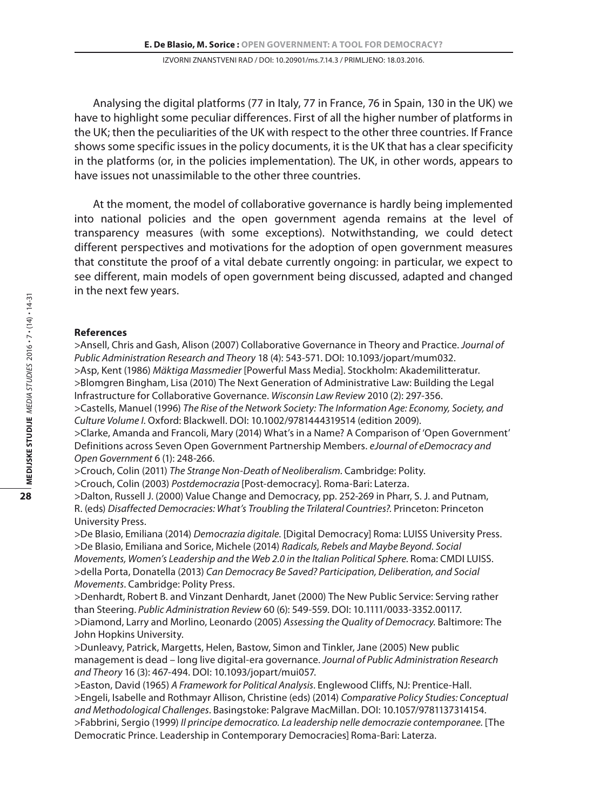Analysing the digital platforms (77 in Italy, 77 in France, 76 in Spain, 130 in the UK) we have to highlight some peculiar differences. First of all the higher number of platforms in the UK; then the peculiarities of the UK with respect to the other three countries. If France shows some specific issues in the policy documents, it is the UK that has a clear specificity in the platforms (or, in the policies implementation). The UK, in other words, appears to have issues not unassimilable to the other three countries.

At the moment, the model of collaborative governance is hardly being implemented into national policies and the open government agenda remains at the level of transparency measures (with some exceptions). Notwithstanding, we could detect different perspectives and motivations for the adoption of open government measures that constitute the proof of a vital debate currently ongoing: in particular, we expect to see different, main models of open government being discussed, adapted and changed in the next few years.

### **References**

>Ansell, Chris and Gash, Alison (2007) Collaborative Governance in Theory and Practice. *Journal of Public Administration Research and Theory* 18 (4): 543-571. DOI: 10.1093/jopart/mum032. >Asp, Kent (1986) *Mäktiga Massmedier* [Powerful Mass Media]. Stockholm: Akademilitteratur. >Blomgren Bingham, Lisa (2010) The Next Generation of Administrative Law: Building the Legal Infrastructure for Collaborative Governance. *Wisconsin Law Review* 2010 (2): 297-356. >Castells, Manuel (1996) *The Rise of the Network Society: The Information Age: Economy, Society, and Culture Volume I*. Oxford: Blackwell. DOI: 10.1002/9781444319514 (edition 2009).

>Clarke, Amanda and Francoli, Mary (2014) What's in a Name? A Comparison of 'Open Government' Definitions across Seven Open Government Partnership Members. *eJournal of eDemocracy and Open Government* 6 (1): 248-266.

>Crouch, Colin (2011) *The Strange Non-Death of Neoliberalism.* Cambridge: Polity.

>Crouch, Colin (2003) *Postdemocrazia* [Post-democracy]*.* Roma-Bari: Laterza.

>Dalton, Russell J. (2000) Value Change and Democracy, pp. 252-269 in Pharr, S. J. and Putnam, R. (eds) *Disaffected Democracies: What's Troubling the Trilateral Countries?.* Princeton: Princeton University Press.

>De Blasio, Emiliana (2014) *Democrazia digitale.* [Digital Democracy] Roma: LUISS University Press. >De Blasio, Emiliana and Sorice, Michele (2014) *Radicals, Rebels and Maybe Beyond. Social Movements, Women's Leadership and the Web 2.0 in the Italian Political Sphere.* Roma: CMDI LUISS. >della Porta, Donatella (2013) *Can Democracy Be Saved? Participation, Deliberation, and Social Movements*. Cambridge: Polity Press.

>Denhardt, Robert B. and Vinzant Denhardt, Janet (2000) The New Public Service: Serving rather than Steering. *Public Administration Review* 60 (6): 549-559. DOI: 10.1111/0033-3352.00117. >Diamond, Larry and Morlino, Leonardo (2005) *Assessing the Quality of Democracy.* Baltimore: The John Hopkins University.

>Dunleavy, Patrick, Margetts, Helen, Bastow, Simon and Tinkler, Jane (2005) New public management is dead – long live digital-era governance. *Journal of Public Administration Research and Theory* 16 (3): 467-494. DOI: 10.1093/jopart/mui057.

>Easton, David (1965) *A Framework for Political Analysis*. Englewood Cliffs, NJ: Prentice-Hall. >Engeli, Isabelle and Rothmayr Allison, Christine (eds) (2014) *Comparative Policy Studies: Conceptual and Methodological Challenges*. Basingstoke: Palgrave MacMillan. DOI: 10.1057/9781137314154. >Fabbrini, Sergio (1999) *Il principe democratico. La leadership nelle democrazie contemporanee.* [The Democratic Prince. Leadership in Contemporary Democracies] Roma-Bari: Laterza.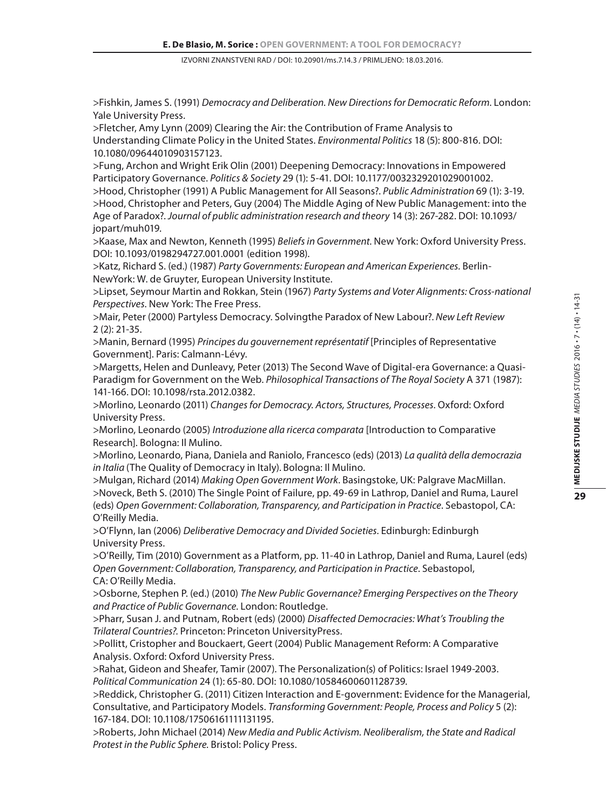>Fishkin, James S. (1991) *Democracy and Deliberation. New Directions for Democratic Reform.* London: Yale University Press.

>Fletcher, Amy Lynn (2009) Clearing the Air: the Contribution of Frame Analysis to Understanding Climate Policy in the United States. *Environmental Politics* 18 (5): 800-816. DOI: 10.1080/09644010903157123.

>Fung, Archon and Wright Erik Olin (2001) Deepening Democracy: Innovations in Empowered Participatory Governance. *Politics & Society* 29 (1): 5-41. DOI: 10.1177/0032329201029001002.

>Hood, Christopher (1991) A Public Management for All Seasons?. *Public Administration* 69 (1): 3-19. >Hood, Christopher and Peters, Guy (2004) The Middle Aging of New Public Management: into the Age of Paradox?. *Journal of public administration research and theory* 14 (3): 267-282. DOI: 10.1093/ jopart/muh019.

>Kaase, Max and Newton, Kenneth (1995) *Beliefs in Government.* New York: Oxford University Press. DOI: 10.1093/0198294727.001.0001 (edition 1998).

>Katz, Richard S. (ed.) (1987) *Party Governments: European and American Experiences.* Berlin-NewYork: W. de Gruyter, European University Institute.

>Lipset, Seymour Martin and Rokkan, Stein (1967) *Party Systems and Voter Alignments: Cross-national Perspectives*. New York: The Free Press.

>Mair, Peter (2000) Partyless Democracy. Solvingthe Paradox of New Labour?. *New Left Review* 2 (2): 21-35.

>Manin, Bernard (1995) *Principes du gouvernement représentatif* [Principles of Representative Government]. Paris: Calmann-Lévy.

>Margetts, Helen and Dunleavy, Peter (2013) The Second Wave of Digital-era Governance: a Quasi-Paradigm for Government on the Web. *Philosophical Transactions of The Royal Society* A 371 (1987): 141-166. DOI: 10.1098/rsta.2012.0382.

>Morlino, Leonardo (2011) *Changes for Democracy. Actors, Structures, Processes.* Oxford: Oxford University Press.

>Morlino, Leonardo (2005) *Introduzione alla ricerca comparata* [Introduction to Comparative Research]. Bologna: Il Mulino.

>Morlino, Leonardo, Piana, Daniela and Raniolo, Francesco (eds) (2013) *La qualità della democrazia in Italia* (The Quality of Democracy in Italy). Bologna: Il Mulino.

>Mulgan, Richard (2014) *Making Open Government Work*. Basingstoke, UK: Palgrave MacMillan. >Noveck, Beth S. (2010) The Single Point of Failure, pp. 49-69 in Lathrop, Daniel and Ruma, Laurel (eds) *Open Government: Collaboration, Transparency, and Participation in Practice*. Sebastopol, CA: O'Reilly Media.

>O'Flynn, Ian (2006) *Deliberative Democracy and Divided Societies.* Edinburgh: Edinburgh University Press.

>O'Reilly, Tim (2010) Government as a Platform, pp. 11-40 in Lathrop, Daniel and Ruma, Laurel (eds) *Open Government: Collaboration, Transparency, and Participation in Practice*. Sebastopol, CA: O'Reilly Media.

>Osborne, Stephen P. (ed.) (2010) *The New Public Governance? Emerging Perspectives on the Theory and Practice of Public Governance*. London: Routledge.

>Pharr, Susan J. and Putnam, Robert (eds) (2000) *Disaffected Democracies: What's Troubling the Trilateral Countries?.* Princeton: Princeton UniversityPress.

>Pollitt, Cristopher and Bouckaert, Geert (2004) Public Management Reform: A Comparative Analysis. Oxford: Oxford University Press.

>Rahat, Gideon and Sheafer, Tamir (2007). The Personalization(s) of Politics: Israel 1949-2003. *Political Communication* 24 (1): 65-80. DOI: 10.1080/10584600601128739.

>Reddick, Christopher G. (2011) Citizen Interaction and E-government: Evidence for the Managerial, Consultative, and Participatory Models. *Transforming Government: People, Process and Policy* 5 (2): 167-184. DOI: 10.1108/17506161111131195.

>Roberts, John Michael (2014) *New Media and Public Activism. Neoliberalism, the State and Radical Protest in the Public Sphere.* Bristol: Policy Press.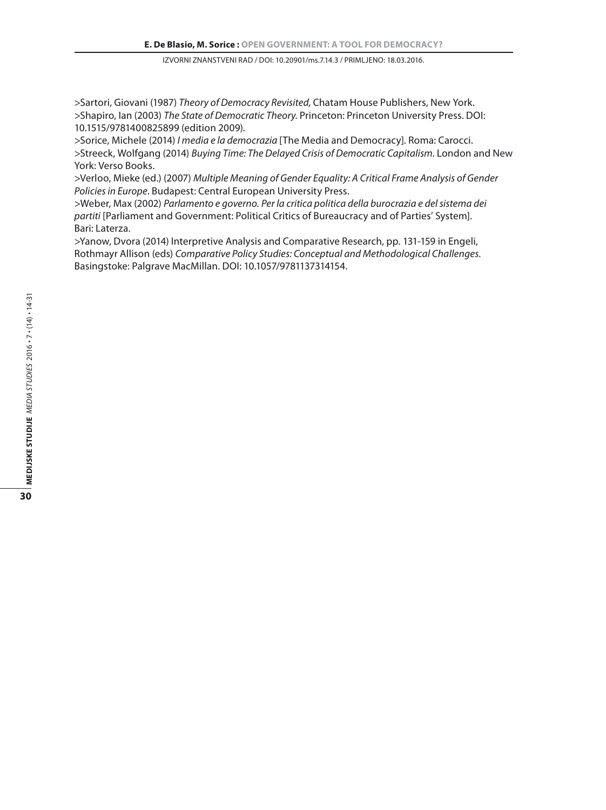>Sartori, Giovani (1987) *Theory of Democracy Revisited,* Chatam House Publishers, New York. >Shapiro, Ian (2003) *The State of Democratic Theory.* Princeton: Princeton University Press. DOI: 10.1515/9781400825899 (edition 2009).

>Sorice, Michele (2014) *I media e la democrazia* [The Media and Democracy]*.* Roma: Carocci. >Streeck, Wolfgang (2014) *Buying Time: The Delayed Crisis of Democratic Capitalism*. London and New York: Verso Books.

>Verloo, Mieke (ed.) (2007) *Multiple Meaning of Gender Equality: A Critical Frame Analysis of Gender Policies in Europe*. Budapest: Central European University Press.

>Weber, Max (2002) *Parlamento e governo. Per la critica politica della burocrazia e del sistema dei partiti* [Parliament and Government: Political Critics of Bureaucracy and of Parties' System]. Bari: Laterza.

>Yanow, Dvora (2014) Interpretive Analysis and Comparative Research, pp. 131-159 in Engeli, Rothmayr Allison (eds) *Comparative Policy Studies: Conceptual and Methodological Challenges.*  Basingstoke: Palgrave MacMillan. DOI: 10.1057/9781137314154.